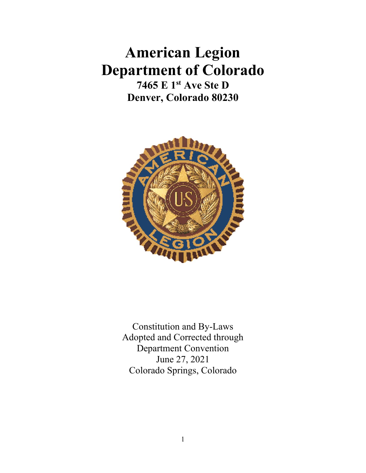# **American Legion Department of Colorado**

**7465 E 1st Ave Ste D Denver, Colorado 80230**



Constitution and By-Laws Adopted and Corrected through Department Convention June 27, 2021 Colorado Springs, Colorado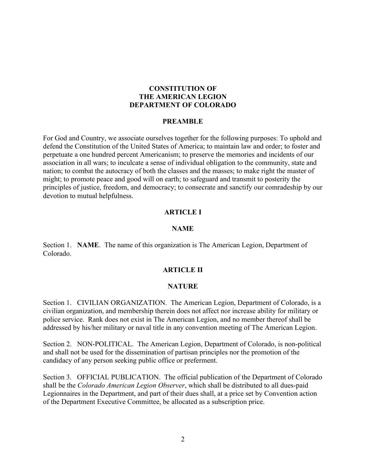#### **CONSTITUTION OF THE AMERICAN LEGION DEPARTMENT OF COLORADO**

#### **PREAMBLE**

For God and Country, we associate ourselves together for the following purposes: To uphold and defend the Constitution of the United States of America; to maintain law and order; to foster and perpetuate a one hundred percent Americanism; to preserve the memories and incidents of our association in all wars; to inculcate a sense of individual obligation to the community, state and nation; to combat the autocracy of both the classes and the masses; to make right the master of might; to promote peace and good will on earth; to safeguard and transmit to posterity the principles of justice, freedom, and democracy; to consecrate and sanctify our comradeship by our devotion to mutual helpfulness.

#### **ARTICLE I**

#### **NAME**

Section 1. **NAME**. The name of this organization is The American Legion, Department of Colorado.

#### **ARTICLE II**

#### **NATURE**

Section 1. CIVILIAN ORGANIZATION. The American Legion, Department of Colorado, is a civilian organization, and membership therein does not affect nor increase ability for military or police service. Rank does not exist in The American Legion, and no member thereof shall be addressed by his/her military or naval title in any convention meeting of The American Legion.

Section 2. NON-POLITICAL. The American Legion, Department of Colorado, is non-political and shall not be used for the dissemination of partisan principles nor the promotion of the candidacy of any person seeking public office or preferment.

Section 3. OFFICIAL PUBLICATION. The official publication of the Department of Colorado shall be the *Colorado American Legion Observer*, which shall be distributed to all dues-paid Legionnaires in the Department, and part of their dues shall, at a price set by Convention action of the Department Executive Committee, be allocated as a subscription price.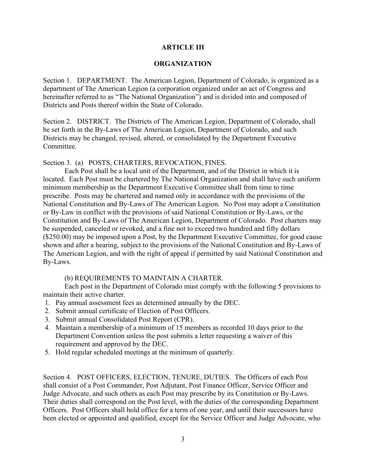## **ARTICLE III**

#### **ORGANIZATION**

Section 1. DEPARTMENT. The American Legion, Department of Colorado, is organized as a department of The American Legion (a corporation organized under an act of Congress and hereinafter referred to as "The National Organization") and is divided into and composed of Districts and Posts thereof within the State of Colorado.

Section 2. DISTRICT. The Districts of The American Legion, Department of Colorado, shall be set forth in the By-Laws of The American Legion, Department of Colorado, and such Districts may be changed, revised, altered, or consolidated by the Department Executive Committee.

Section 3. (a) POSTS, CHARTERS, REVOCATION, FINES.

Each Post shall be a local unit of the Department, and of the District in which it is located. Each Post must be chartered by The National Organization and shall have such uniform minimum membership as the Department Executive Committee shall from time to time prescribe. Posts may be chartered and named only in accordance with the provisions of the National Constitution and By-Laws of The American Legion. No Post may adopt a Constitution or By-Law in conflict with the provisions of said National Constitution or By-Laws, or the Constitution and By-Laws of The American Legion, Department of Colorado. Post charters may be suspended, canceled or revoked, and a fine not to exceed two hundred and fifty dollars (\$250.00) may be imposed upon a Post, by the Department Executive Committee, for good cause shown and after a hearing, subject to the provisions of the National Constitution and By-Laws of The American Legion, and with the right of appeal if permitted by said National Constitution and By-Laws.

#### (b) REQUIREMENTS TO MAINTAIN A CHARTER.

Each post in the Department of Colorado must comply with the following 5 provisions to maintain their active charter.

- 1. Pay annual assessment fees as determined annually by the DEC.
- 2. Submit annual certificate of Election of Post Officers.
- 3. Submit annual Consolidated Post Report (CPR).
- 4. Maintain a membership of a minimum of 15 members as recorded 10 days prior to the Department Convention unless the post submits a letter requesting a waiver of this requirement and approved by the DEC.
- 5. Hold regular scheduled meetings at the minimum of quarterly.

Section 4. POST OFFICERS, ELECTION, TENURE, DUTIES. The Officers of each Post shall consist of a Post Commander, Post Adjutant, Post Finance Officer, Service Officer and Judge Advocate, and such others as each Post may prescribe by its Constitution or By-Laws. Their duties shall correspond on the Post level, with the duties of the corresponding Department Officers. Post Officers shall hold office for a term of one year, and until their successors have been elected or appointed and qualified, except for the Service Officer and Judge Advocate, who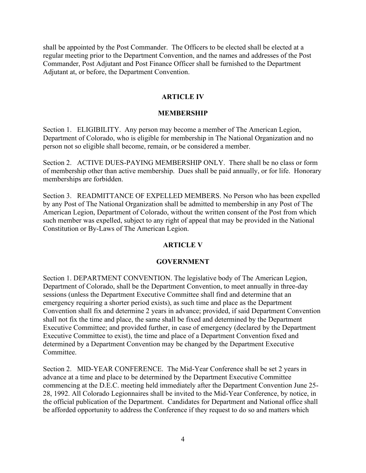shall be appointed by the Post Commander. The Officers to be elected shall be elected at a regular meeting prior to the Department Convention, and the names and addresses of the Post Commander, Post Adjutant and Post Finance Officer shall be furnished to the Department Adjutant at, or before, the Department Convention.

## **ARTICLE IV**

## **MEMBERSHIP**

Section 1. ELIGIBILITY. Any person may become a member of The American Legion, Department of Colorado, who is eligible for membership in The National Organization and no person not so eligible shall become, remain, or be considered a member.

Section 2. ACTIVE DUES-PAYING MEMBERSHIP ONLY. There shall be no class or form of membership other than active membership. Dues shall be paid annually, or for life. Honorary memberships are forbidden.

Section 3. READMITTANCE OF EXPELLED MEMBERS. No Person who has been expelled by any Post of The National Organization shall be admitted to membership in any Post of The American Legion, Department of Colorado, without the written consent of the Post from which such member was expelled, subject to any right of appeal that may be provided in the National Constitution or By-Laws of The American Legion.

# **ARTICLE V**

#### **GOVERNMENT**

Section 1. DEPARTMENT CONVENTION. The legislative body of The American Legion, Department of Colorado, shall be the Department Convention, to meet annually in three-day sessions (unless the Department Executive Committee shall find and determine that an emergency requiring a shorter period exists), as such time and place as the Department Convention shall fix and determine 2 years in advance; provided, if said Department Convention shall not fix the time and place, the same shall be fixed and determined by the Department Executive Committee; and provided further, in case of emergency (declared by the Department Executive Committee to exist), the time and place of a Department Convention fixed and determined by a Department Convention may be changed by the Department Executive Committee.

Section 2. MID-YEAR CONFERENCE. The Mid-Year Conference shall be set 2 years in advance at a time and place to be determined by the Department Executive Committee commencing at the D.E.C. meeting held immediately after the Department Convention June 25- 28, 1992. All Colorado Legionnaires shall be invited to the Mid-Year Conference, by notice, in the official publication of the Department. Candidates for Department and National office shall be afforded opportunity to address the Conference if they request to do so and matters which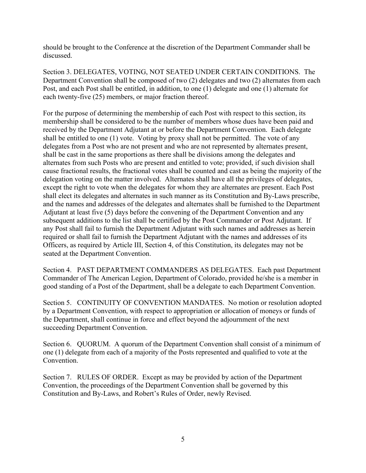should be brought to the Conference at the discretion of the Department Commander shall be discussed.

Section 3. DELEGATES, VOTING, NOT SEATED UNDER CERTAIN CONDITIONS. The Department Convention shall be composed of two (2) delegates and two (2) alternates from each Post, and each Post shall be entitled, in addition, to one (1) delegate and one (1) alternate for each twenty-five (25) members, or major fraction thereof.

For the purpose of determining the membership of each Post with respect to this section, its membership shall be considered to be the number of members whose dues have been paid and received by the Department Adjutant at or before the Department Convention. Each delegate shall be entitled to one (1) vote. Voting by proxy shall not be permitted. The vote of any delegates from a Post who are not present and who are not represented by alternates present, shall be cast in the same proportions as there shall be divisions among the delegates and alternates from such Posts who are present and entitled to vote; provided, if such division shall cause fractional results, the fractional votes shall be counted and cast as being the majority of the delegation voting on the matter involved. Alternates shall have all the privileges of delegates, except the right to vote when the delegates for whom they are alternates are present. Each Post shall elect its delegates and alternates in such manner as its Constitution and By-Laws prescribe, and the names and addresses of the delegates and alternates shall be furnished to the Department Adjutant at least five (5) days before the convening of the Department Convention and any subsequent additions to the list shall be certified by the Post Commander or Post Adjutant. If any Post shall fail to furnish the Department Adjutant with such names and addresses as herein required or shall fail to furnish the Department Adjutant with the names and addresses of its Officers, as required by Article III, Section 4, of this Constitution, its delegates may not be seated at the Department Convention.

Section 4. PAST DEPARTMENT COMMANDERS AS DELEGATES. Each past Department Commander of The American Legion, Department of Colorado, provided he/she is a member in good standing of a Post of the Department, shall be a delegate to each Department Convention.

Section 5. CONTINUITY OF CONVENTION MANDATES. No motion or resolution adopted by a Department Convention, with respect to appropriation or allocation of moneys or funds of the Department, shall continue in force and effect beyond the adjournment of the next succeeding Department Convention.

Section 6. QUORUM. A quorum of the Department Convention shall consist of a minimum of one (1) delegate from each of a majority of the Posts represented and qualified to vote at the Convention.

Section 7. RULES OF ORDER. Except as may be provided by action of the Department Convention, the proceedings of the Department Convention shall be governed by this Constitution and By-Laws, and Robert's Rules of Order, newly Revised.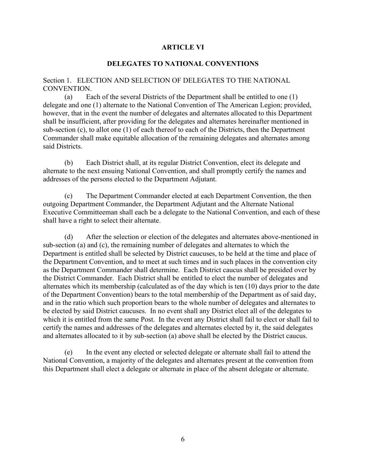#### **ARTICLE VI**

#### **DELEGATES TO NATIONAL CONVENTIONS**

#### Section 1. ELECTION AND SELECTION OF DELEGATES TO THE NATIONAL CONVENTION.

 (a) Each of the several Districts of the Department shall be entitled to one (1) delegate and one (1) alternate to the National Convention of The American Legion; provided, however, that in the event the number of delegates and alternates allocated to this Department shall be insufficient, after providing for the delegates and alternates hereinafter mentioned in sub-section (c), to allot one (1) of each thereof to each of the Districts, then the Department Commander shall make equitable allocation of the remaining delegates and alternates among said Districts.

 (b) Each District shall, at its regular District Convention, elect its delegate and alternate to the next ensuing National Convention, and shall promptly certify the names and addresses of the persons elected to the Department Adjutant.

 (c) The Department Commander elected at each Department Convention, the then outgoing Department Commander, the Department Adjutant and the Alternate National Executive Committeeman shall each be a delegate to the National Convention, and each of these shall have a right to select their alternate.

 (d) After the selection or election of the delegates and alternates above-mentioned in sub-section (a) and (c), the remaining number of delegates and alternates to which the Department is entitled shall be selected by District caucuses, to be held at the time and place of the Department Convention, and to meet at such times and in such places in the convention city as the Department Commander shall determine. Each District caucus shall be presided over by the District Commander. Each District shall be entitled to elect the number of delegates and alternates which its membership (calculated as of the day which is ten (10) days prior to the date of the Department Convention) bears to the total membership of the Department as of said day, and in the ratio which such proportion bears to the whole number of delegates and alternates to be elected by said District caucuses. In no event shall any District elect all of the delegates to which it is entitled from the same Post. In the event any District shall fail to elect or shall fail to certify the names and addresses of the delegates and alternates elected by it, the said delegates and alternates allocated to it by sub-section (a) above shall be elected by the District caucus.

 (e) In the event any elected or selected delegate or alternate shall fail to attend the National Convention, a majority of the delegates and alternates present at the convention from this Department shall elect a delegate or alternate in place of the absent delegate or alternate.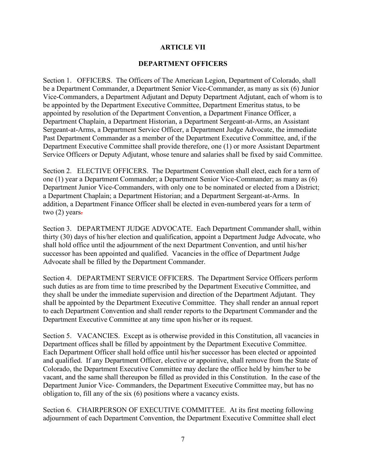## **ARTICLE VII**

## **DEPARTMENT OFFICERS**

Section 1. OFFICERS. The Officers of The American Legion, Department of Colorado, shall be a Department Commander, a Department Senior Vice-Commander, as many as six (6) Junior Vice-Commanders, a Department Adjutant and Deputy Department Adjutant, each of whom is to be appointed by the Department Executive Committee, Department Emeritus status, to be appointed by resolution of the Department Convention, a Department Finance Officer, a Department Chaplain, a Department Historian, a Department Sergeant-at-Arms, an Assistant Sergeant-at-Arms, a Department Service Officer, a Department Judge Advocate, the immediate Past Department Commander as a member of the Department Executive Committee, and, if the Department Executive Committee shall provide therefore, one (1) or more Assistant Department Service Officers or Deputy Adjutant, whose tenure and salaries shall be fixed by said Committee.

Section 2. ELECTIVE OFFICERS. The Department Convention shall elect, each for a term of one (1) year a Department Commander; a Department Senior Vice-Commander; as many as (6) Department Junior Vice-Commanders, with only one to be nominated or elected from a District; a Department Chaplain; a Department Historian; and a Department Sergeant-at-Arms. In addition, a Department Finance Officer shall be elected in even-numbered years for a term of two  $(2)$  years.

Section 3. DEPARTMENT JUDGE ADVOCATE. Each Department Commander shall, within thirty (30) days of his/her election and qualification, appoint a Department Judge Advocate, who shall hold office until the adjournment of the next Department Convention, and until his/her successor has been appointed and qualified. Vacancies in the office of Department Judge Advocate shall be filled by the Department Commander.

Section 4. DEPARTMENT SERVICE OFFICERS. The Department Service Officers perform such duties as are from time to time prescribed by the Department Executive Committee, and they shall be under the immediate supervision and direction of the Department Adjutant. They shall be appointed by the Department Executive Committee. They shall render an annual report to each Department Convention and shall render reports to the Department Commander and the Department Executive Committee at any time upon his/her or its request.

Section 5. VACANCIES. Except as is otherwise provided in this Constitution, all vacancies in Department offices shall be filled by appointment by the Department Executive Committee. Each Department Officer shall hold office until his/her successor has been elected or appointed and qualified. If any Department Officer, elective or appointive, shall remove from the State of Colorado, the Department Executive Committee may declare the office held by him/her to be vacant, and the same shall thereupon be filled as provided in this Constitution. In the case of the Department Junior Vice- Commanders, the Department Executive Committee may, but has no obligation to, fill any of the six (6) positions where a vacancy exists.

Section 6. CHAIRPERSON OF EXECUTIVE COMMITTEE. At its first meeting following adjournment of each Department Convention, the Department Executive Committee shall elect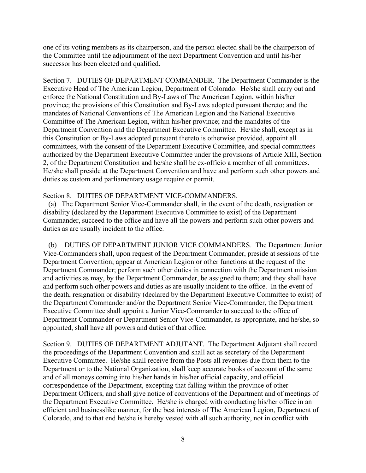one of its voting members as its chairperson, and the person elected shall be the chairperson of the Committee until the adjournment of the next Department Convention and until his/her successor has been elected and qualified.

Section 7. DUTIES OF DEPARTMENT COMMANDER. The Department Commander is the Executive Head of The American Legion, Department of Colorado. He/she shall carry out and enforce the National Constitution and By-Laws of The American Legion, within his/her province; the provisions of this Constitution and By-Laws adopted pursuant thereto; and the mandates of National Conventions of The American Legion and the National Executive Committee of The American Legion, within his/her province; and the mandates of the Department Convention and the Department Executive Committee. He/she shall, except as in this Constitution or By-Laws adopted pursuant thereto is otherwise provided, appoint all committees, with the consent of the Department Executive Committee, and special committees authorized by the Department Executive Committee under the provisions of Article XIII, Section 2, of the Department Constitution and he/she shall be ex-officio a member of all committees. He/she shall preside at the Department Convention and have and perform such other powers and duties as custom and parliamentary usage require or permit.

#### Section 8. DUTIES OF DEPARTMENT VICE-COMMANDERS.

 (a) The Department Senior Vice-Commander shall, in the event of the death, resignation or disability (declared by the Department Executive Committee to exist) of the Department Commander, succeed to the office and have all the powers and perform such other powers and duties as are usually incident to the office.

 (b) DUTIES OF DEPARTMENT JUNIOR VICE COMMANDERS. The Department Junior Vice-Commanders shall, upon request of the Department Commander, preside at sessions of the Department Convention; appear at American Legion or other functions at the request of the Department Commander; perform such other duties in connection with the Department mission and activities as may, by the Department Commander, be assigned to them; and they shall have and perform such other powers and duties as are usually incident to the office. In the event of the death, resignation or disability (declared by the Department Executive Committee to exist) of the Department Commander and/or the Department Senior Vice-Commander, the Department Executive Committee shall appoint a Junior Vice-Commander to succeed to the office of Department Commander or Department Senior Vice-Commander, as appropriate, and he/she, so appointed, shall have all powers and duties of that office.

Section 9. DUTIES OF DEPARTMENT ADJUTANT. The Department Adjutant shall record the proceedings of the Department Convention and shall act as secretary of the Department Executive Committee. He/she shall receive from the Posts all revenues due from them to the Department or to the National Organization, shall keep accurate books of account of the same and of all moneys coming into his/her hands in his/her official capacity, and official correspondence of the Department, excepting that falling within the province of other Department Officers, and shall give notice of conventions of the Department and of meetings of the Department Executive Committee. He/she is charged with conducting his/her office in an efficient and businesslike manner, for the best interests of The American Legion, Department of Colorado, and to that end he/she is hereby vested with all such authority, not in conflict with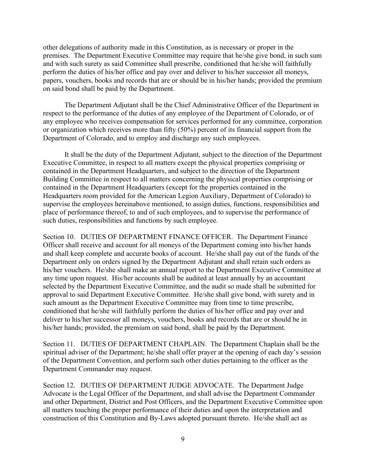other delegations of authority made in this Constitution, as is necessary or proper in the premises. The Department Executive Committee may require that he/she give bond, in such sum and with such surety as said Committee shall prescribe, conditioned that he/she will faithfully perform the duties of his/her office and pay over and deliver to his/her successor all moneys, papers, vouchers, books and records that are or should be in his/her hands; provided the premium on said bond shall be paid by the Department.

The Department Adjutant shall be the Chief Administrative Officer of the Department in respect to the performance of the duties of any employee of the Department of Colorado, or of any employee who receives compensation for services performed for any committee, corporation or organization which receives more than fifty (50%) percent of its financial support from the Department of Colorado, and to employ and discharge any such employees.

It shall be the duty of the Department Adjutant, subject to the direction of the Department Executive Committee, in respect to all matters except the physical properties comprising or contained in the Department Headquarters, and subject to the direction of the Department Building Committee in respect to all matters concerning the physical properties comprising or contained in the Department Headquarters (except for the properties contained in the Headquarters room provided for the American Legion Auxiliary, Department of Colorado) to supervise the employees hereinabove mentioned, to assign duties, functions, responsibilities and place of performance thereof, to and of such employees, and to supervise the performance of such duties, responsibilities and functions by such employee.

Section 10. DUTIES OF DEPARTMENT FINANCE OFFICER. The Department Finance Officer shall receive and account for all moneys of the Department coming into his/her hands and shall keep complete and accurate books of account. He/she shall pay out of the funds of the Department only on orders signed by the Department Adjutant and shall retain such orders as his/her vouchers. He/she shall make an annual report to the Department Executive Committee at any time upon request. His/her accounts shall be audited at least annually by an accountant selected by the Department Executive Committee, and the audit so made shall be submitted for approval to said Department Executive Committee. He/she shall give bond, with surety and in such amount as the Department Executive Committee may from time to time prescribe, conditioned that he/she will faithfully perform the duties of his/her office and pay over and deliver to his/her successor all moneys, vouchers, books and records that are or should be in his/her hands; provided, the premium on said bond, shall be paid by the Department.

Section 11. DUTIES OF DEPARTMENT CHAPLAIN. The Department Chaplain shall be the spiritual adviser of the Department; he/she shall offer prayer at the opening of each day's session of the Department Convention, and perform such other duties pertaining to the officer as the Department Commander may request.

Section 12. DUTIES OF DEPARTMENT JUDGE ADVOCATE. The Department Judge Advocate is the Legal Officer of the Department, and shall advise the Department Commander and other Department, District and Post Officers, and the Department Executive Committee upon all matters touching the proper performance of their duties and upon the interpretation and construction of this Constitution and By-Laws adopted pursuant thereto. He/she shall act as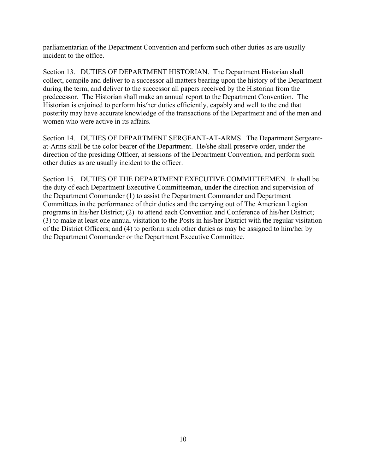parliamentarian of the Department Convention and perform such other duties as are usually incident to the office.

Section 13. DUTIES OF DEPARTMENT HISTORIAN. The Department Historian shall collect, compile and deliver to a successor all matters bearing upon the history of the Department during the term, and deliver to the successor all papers received by the Historian from the predecessor. The Historian shall make an annual report to the Department Convention. The Historian is enjoined to perform his/her duties efficiently, capably and well to the end that posterity may have accurate knowledge of the transactions of the Department and of the men and women who were active in its affairs.

Section 14. DUTIES OF DEPARTMENT SERGEANT-AT-ARMS. The Department Sergeantat-Arms shall be the color bearer of the Department. He/she shall preserve order, under the direction of the presiding Officer, at sessions of the Department Convention, and perform such other duties as are usually incident to the officer.

Section 15. DUTIES OF THE DEPARTMENT EXECUTIVE COMMITTEEMEN. It shall be the duty of each Department Executive Committeeman, under the direction and supervision of the Department Commander (1) to assist the Department Commander and Department Committees in the performance of their duties and the carrying out of The American Legion programs in his/her District; (2) to attend each Convention and Conference of his/her District; (3) to make at least one annual visitation to the Posts in his/her District with the regular visitation of the District Officers; and (4) to perform such other duties as may be assigned to him/her by the Department Commander or the Department Executive Committee.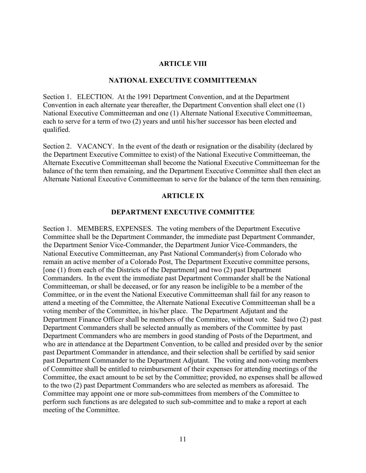#### **ARTICLE VIII**

#### **NATIONAL EXECUTIVE COMMITTEEMAN**

Section 1. ELECTION. At the 1991 Department Convention, and at the Department Convention in each alternate year thereafter, the Department Convention shall elect one (1) National Executive Committeeman and one (1) Alternate National Executive Committeeman, each to serve for a term of two (2) years and until his/her successor has been elected and qualified.

Section 2. VACANCY. In the event of the death or resignation or the disability (declared by the Department Executive Committee to exist) of the National Executive Committeeman, the Alternate Executive Committeeman shall become the National Executive Committeeman for the balance of the term then remaining, and the Department Executive Committee shall then elect an Alternate National Executive Committeeman to serve for the balance of the term then remaining.

#### **ARTICLE IX**

#### **DEPARTMENT EXECUTIVE COMMITTEE**

Section 1. MEMBERS, EXPENSES. The voting members of the Department Executive Committee shall be the Department Commander, the immediate past Department Commander, the Department Senior Vice-Commander, the Department Junior Vice-Commanders, the National Executive Committeeman, any Past National Commander(s) from Colorado who remain an active member of a Colorado Post, The Department Executive committee persons, [one (1) from each of the Districts of the Department] and two (2) past Department Commanders. In the event the immediate past Department Commander shall be the National Committeeman, or shall be deceased, or for any reason be ineligible to be a member of the Committee, or in the event the National Executive Committeeman shall fail for any reason to attend a meeting of the Committee, the Alternate National Executive Committeeman shall be a voting member of the Committee, in his/her place. The Department Adjutant and the Department Finance Officer shall be members of the Committee, without vote. Said two (2) past Department Commanders shall be selected annually as members of the Committee by past Department Commanders who are members in good standing of Posts of the Department, and who are in attendance at the Department Convention, to be called and presided over by the senior past Department Commander in attendance, and their selection shall be certified by said senior past Department Commander to the Department Adjutant. The voting and non-voting members of Committee shall be entitled to reimbursement of their expenses for attending meetings of the Committee, the exact amount to be set by the Committee; provided, no expenses shall be allowed to the two (2) past Department Commanders who are selected as members as aforesaid. The Committee may appoint one or more sub-committees from members of the Committee to perform such functions as are delegated to such sub-committee and to make a report at each meeting of the Committee.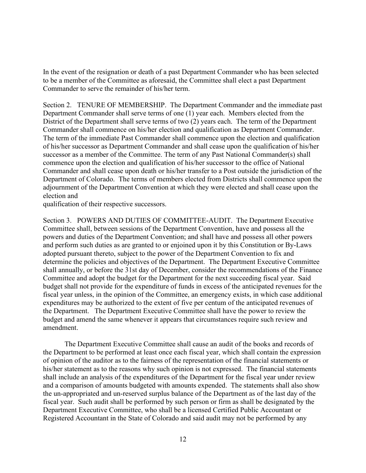In the event of the resignation or death of a past Department Commander who has been selected to be a member of the Committee as aforesaid, the Committee shall elect a past Department Commander to serve the remainder of his/her term.

Section 2. TENURE OF MEMBERSHIP. The Department Commander and the immediate past Department Commander shall serve terms of one (1) year each. Members elected from the District of the Department shall serve terms of two (2) years each. The term of the Department Commander shall commence on his/her election and qualification as Department Commander. The term of the immediate Past Commander shall commence upon the election and qualification of his/her successor as Department Commander and shall cease upon the qualification of his/her successor as a member of the Committee. The term of any Past National Commander(s) shall commence upon the election and qualification of his/her successor to the office of National Commander and shall cease upon death or his/her transfer to a Post outside the jurisdiction of the Department of Colorado. The terms of members elected from Districts shall commence upon the adjournment of the Department Convention at which they were elected and shall cease upon the election and

qualification of their respective successors.

Section 3. POWERS AND DUTIES OF COMMITTEE-AUDIT. The Department Executive Committee shall, between sessions of the Department Convention, have and possess all the powers and duties of the Department Convention; and shall have and possess all other powers and perform such duties as are granted to or enjoined upon it by this Constitution or By-Laws adopted pursuant thereto, subject to the power of the Department Convention to fix and determine the policies and objectives of the Department. The Department Executive Committee shall annually, or before the 31st day of December, consider the recommendations of the Finance Committee and adopt the budget for the Department for the next succeeding fiscal year. Said budget shall not provide for the expenditure of funds in excess of the anticipated revenues for the fiscal year unless, in the opinion of the Committee, an emergency exists, in which case additional expenditures may be authorized to the extent of five per centum of the anticipated revenues of the Department. The Department Executive Committee shall have the power to review the budget and amend the same whenever it appears that circumstances require such review and amendment.

The Department Executive Committee shall cause an audit of the books and records of the Department to be performed at least once each fiscal year, which shall contain the expression of opinion of the auditor as to the fairness of the representation of the financial statements or his/her statement as to the reasons why such opinion is not expressed. The financial statements shall include an analysis of the expenditures of the Department for the fiscal year under review and a comparison of amounts budgeted with amounts expended. The statements shall also show the un-appropriated and un-reserved surplus balance of the Department as of the last day of the fiscal year. Such audit shall be performed by such person or firm as shall be designated by the Department Executive Committee, who shall be a licensed Certified Public Accountant or Registered Accountant in the State of Colorado and said audit may not be performed by any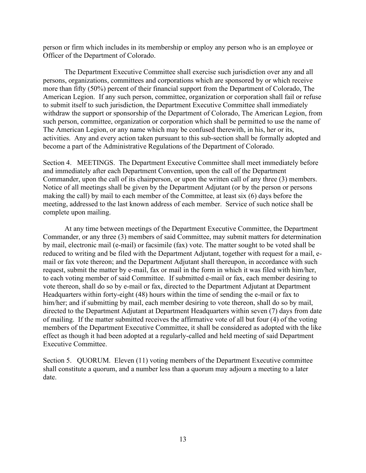person or firm which includes in its membership or employ any person who is an employee or Officer of the Department of Colorado.

The Department Executive Committee shall exercise such jurisdiction over any and all persons, organizations, committees and corporations which are sponsored by or which receive more than fifty (50%) percent of their financial support from the Department of Colorado, The American Legion. If any such person, committee, organization or corporation shall fail or refuse to submit itself to such jurisdiction, the Department Executive Committee shall immediately withdraw the support or sponsorship of the Department of Colorado, The American Legion, from such person, committee, organization or corporation which shall be permitted to use the name of The American Legion, or any name which may be confused therewith, in his, her or its, activities. Any and every action taken pursuant to this sub-section shall be formally adopted and become a part of the Administrative Regulations of the Department of Colorado.

Section 4. MEETINGS. The Department Executive Committee shall meet immediately before and immediately after each Department Convention, upon the call of the Department Commander, upon the call of its chairperson, or upon the written call of any three (3) members. Notice of all meetings shall be given by the Department Adjutant (or by the person or persons making the call) by mail to each member of the Committee, at least six (6) days before the meeting, addressed to the last known address of each member. Service of such notice shall be complete upon mailing.

At any time between meetings of the Department Executive Committee, the Department Commander, or any three (3) members of said Committee, may submit matters for determination by mail, electronic mail (e-mail) or facsimile (fax) vote. The matter sought to be voted shall be reduced to writing and be filed with the Department Adjutant, together with request for a mail, email or fax vote thereon; and the Department Adjutant shall thereupon, in accordance with such request, submit the matter by e-mail, fax or mail in the form in which it was filed with him/her, to each voting member of said Committee. If submitted e-mail or fax, each member desiring to vote thereon, shall do so by e-mail or fax, directed to the Department Adjutant at Department Headquarters within forty-eight (48) hours within the time of sending the e-mail or fax to him/her; and if submitting by mail, each member desiring to vote thereon, shall do so by mail, directed to the Department Adjutant at Department Headquarters within seven (7) days from date of mailing. If the matter submitted receives the affirmative vote of all but four (4) of the voting members of the Department Executive Committee, it shall be considered as adopted with the like effect as though it had been adopted at a regularly-called and held meeting of said Department Executive Committee.

Section 5. QUORUM. Eleven (11) voting members of the Department Executive committee shall constitute a quorum, and a number less than a quorum may adjourn a meeting to a later date.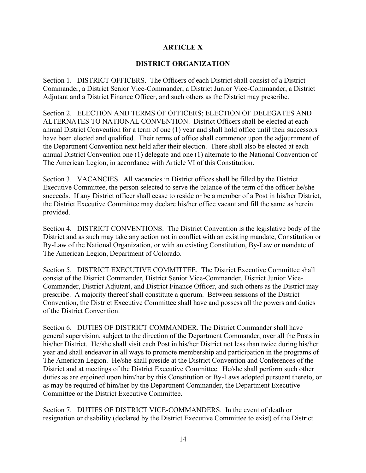# **ARTICLE X**

# **DISTRICT ORGANIZATION**

Section 1. DISTRICT OFFICERS. The Officers of each District shall consist of a District Commander, a District Senior Vice-Commander, a District Junior Vice-Commander, a District Adjutant and a District Finance Officer, and such others as the District may prescribe.

Section 2. ELECTION AND TERMS OF OFFICERS; ELECTION OF DELEGATES AND ALTERNATES TO NATIONAL CONVENTION. District Officers shall be elected at each annual District Convention for a term of one (1) year and shall hold office until their successors have been elected and qualified. Their terms of office shall commence upon the adjournment of the Department Convention next held after their election. There shall also be elected at each annual District Convention one (1) delegate and one (1) alternate to the National Convention of The American Legion, in accordance with Article VI of this Constitution.

Section 3. VACANCIES. All vacancies in District offices shall be filled by the District Executive Committee, the person selected to serve the balance of the term of the officer he/she succeeds. If any District officer shall cease to reside or be a member of a Post in his/her District, the District Executive Committee may declare his/her office vacant and fill the same as herein provided.

Section 4. DISTRICT CONVENTIONS. The District Convention is the legislative body of the District and as such may take any action not in conflict with an existing mandate, Constitution or By-Law of the National Organization, or with an existing Constitution, By-Law or mandate of The American Legion, Department of Colorado.

Section 5. DISTRICT EXECUTIVE COMMITTEE. The District Executive Committee shall consist of the District Commander, District Senior Vice-Commander, District Junior Vice-Commander, District Adjutant, and District Finance Officer, and such others as the District may prescribe. A majority thereof shall constitute a quorum. Between sessions of the District Convention, the District Executive Committee shall have and possess all the powers and duties of the District Convention.

Section 6. DUTIES OF DISTRICT COMMANDER. The District Commander shall have general supervision, subject to the direction of the Department Commander, over all the Posts in his/her District. He/she shall visit each Post in his/her District not less than twice during his/her year and shall endeavor in all ways to promote membership and participation in the programs of The American Legion. He/she shall preside at the District Convention and Conferences of the District and at meetings of the District Executive Committee. He/she shall perform such other duties as are enjoined upon him/her by this Constitution or By-Laws adopted pursuant thereto, or as may be required of him/her by the Department Commander, the Department Executive Committee or the District Executive Committee.

Section 7. DUTIES OF DISTRICT VICE-COMMANDERS. In the event of death or resignation or disability (declared by the District Executive Committee to exist) of the District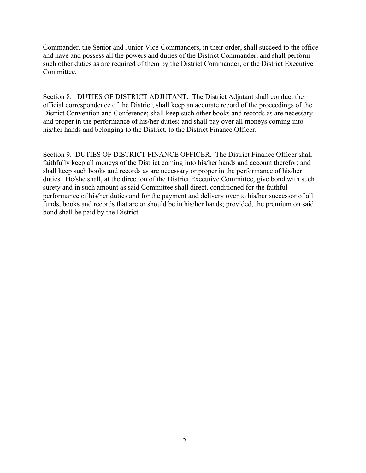Commander, the Senior and Junior Vice-Commanders, in their order, shall succeed to the office and have and possess all the powers and duties of the District Commander; and shall perform such other duties as are required of them by the District Commander, or the District Executive Committee.

Section 8. DUTIES OF DISTRICT ADJUTANT. The District Adjutant shall conduct the official correspondence of the District; shall keep an accurate record of the proceedings of the District Convention and Conference; shall keep such other books and records as are necessary and proper in the performance of his/her duties; and shall pay over all moneys coming into his/her hands and belonging to the District, to the District Finance Officer.

Section 9. DUTIES OF DISTRICT FINANCE OFFICER. The District Finance Officer shall faithfully keep all moneys of the District coming into his/her hands and account therefor; and shall keep such books and records as are necessary or proper in the performance of his/her duties. He/she shall, at the direction of the District Executive Committee, give bond with such surety and in such amount as said Committee shall direct, conditioned for the faithful performance of his/her duties and for the payment and delivery over to his/her successor of all funds, books and records that are or should be in his/her hands; provided, the premium on said bond shall be paid by the District.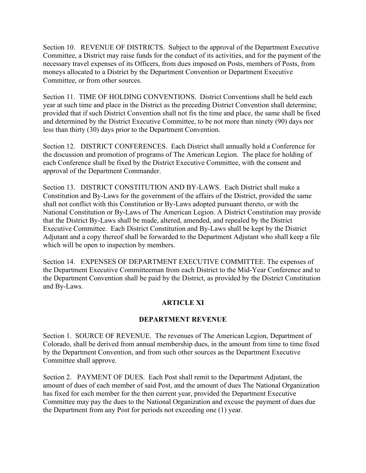Section 10. REVENUE OF DISTRICTS. Subject to the approval of the Department Executive Committee, a District may raise funds for the conduct of its activities, and for the payment of the necessary travel expenses of its Officers, from dues imposed on Posts, members of Posts, from moneys allocated to a District by the Department Convention or Department Executive Committee, or from other sources.

Section 11. TIME OF HOLDING CONVENTIONS. District Conventions shall be held each year at such time and place in the District as the preceding District Convention shall determine; provided that if such District Convention shall not fix the time and place, the same shall be fixed and determined by the District Executive Committee, to be not more than ninety (90) days nor less than thirty (30) days prior to the Department Convention.

Section 12. DISTRICT CONFERENCES. Each District shall annually hold a Conference for the discussion and promotion of programs of The American Legion. The place for holding of each Conference shall be fixed by the District Executive Committee, with the consent and approval of the Department Commander.

Section 13. DISTRICT CONSTITUTION AND BY-LAWS. Each District shall make a Constitution and By-Laws for the government of the affairs of the District, provided the same shall not conflict with this Constitution or By-Laws adopted pursuant thereto, or with the National Constitution or By-Laws of The American Legion. A District Constitution may provide that the District By-Laws shall be made, altered, amended, and repealed by the District Executive Committee. Each District Constitution and By-Laws shall be kept by the District Adjutant and a copy thereof shall be forwarded to the Department Adjutant who shall keep a file which will be open to inspection by members.

Section 14. EXPENSES OF DEPARTMENT EXECUTIVE COMMITTEE. The expenses of the Department Executive Committeeman from each District to the Mid-Year Conference and to the Department Convention shall be paid by the District, as provided by the District Constitution and By-Laws.

# **ARTICLE XI**

# **DEPARTMENT REVENUE**

Section 1. SOURCE OF REVENUE. The revenues of The American Legion, Department of Colorado, shall be derived from annual membership dues, in the amount from time to time fixed by the Department Convention, and from such other sources as the Department Executive Committee shall approve.

Section 2. PAYMENT OF DUES. Each Post shall remit to the Department Adjutant, the amount of dues of each member of said Post, and the amount of dues The National Organization has fixed for each member for the then current year, provided the Department Executive Committee may pay the dues to the National Organization and excuse the payment of dues due the Department from any Post for periods not exceeding one (1) year.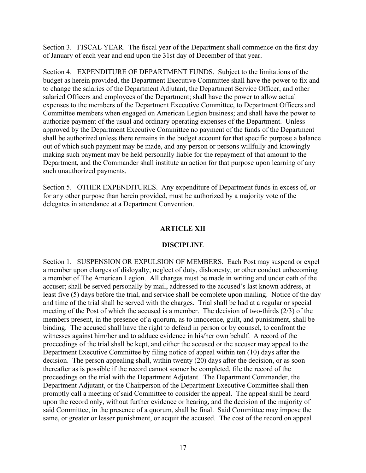Section 3. FISCAL YEAR. The fiscal year of the Department shall commence on the first day of January of each year and end upon the 31st day of December of that year.

Section 4. EXPENDITURE OF DEPARTMENT FUNDS. Subject to the limitations of the budget as herein provided, the Department Executive Committee shall have the power to fix and to change the salaries of the Department Adjutant, the Department Service Officer, and other salaried Officers and employees of the Department; shall have the power to allow actual expenses to the members of the Department Executive Committee, to Department Officers and Committee members when engaged on American Legion business; and shall have the power to authorize payment of the usual and ordinary operating expenses of the Department. Unless approved by the Department Executive Committee no payment of the funds of the Department shall be authorized unless there remains in the budget account for that specific purpose a balance out of which such payment may be made, and any person or persons willfully and knowingly making such payment may be held personally liable for the repayment of that amount to the Department, and the Commander shall institute an action for that purpose upon learning of any such unauthorized payments.

Section 5. OTHER EXPENDITURES. Any expenditure of Department funds in excess of, or for any other purpose than herein provided, must be authorized by a majority vote of the delegates in attendance at a Department Convention.

## **ARTICLE XII**

#### **DISCIPLINE**

Section 1. SUSPENSION OR EXPULSION OF MEMBERS. Each Post may suspend or expel a member upon charges of disloyalty, neglect of duty, dishonesty, or other conduct unbecoming a member of The American Legion. All charges must be made in writing and under oath of the accuser; shall be served personally by mail, addressed to the accused's last known address, at least five (5) days before the trial, and service shall be complete upon mailing. Notice of the day and time of the trial shall be served with the charges. Trial shall be had at a regular or special meeting of the Post of which the accused is a member. The decision of two-thirds (2/3) of the members present, in the presence of a quorum, as to innocence, guilt, and punishment, shall be binding. The accused shall have the right to defend in person or by counsel, to confront the witnesses against him/her and to adduce evidence in his/her own behalf. A record of the proceedings of the trial shall be kept, and either the accused or the accuser may appeal to the Department Executive Committee by filing notice of appeal within ten (10) days after the decision. The person appealing shall, within twenty (20) days after the decision, or as soon thereafter as is possible if the record cannot sooner be completed, file the record of the proceedings on the trial with the Department Adjutant. The Department Commander, the Department Adjutant, or the Chairperson of the Department Executive Committee shall then promptly call a meeting of said Committee to consider the appeal. The appeal shall be heard upon the record only, without further evidence or hearing, and the decision of the majority of said Committee, in the presence of a quorum, shall be final. Said Committee may impose the same, or greater or lesser punishment, or acquit the accused. The cost of the record on appeal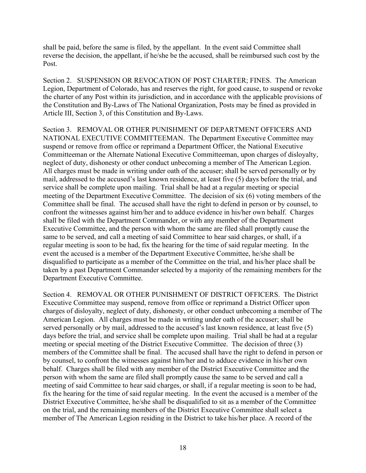shall be paid, before the same is filed, by the appellant. In the event said Committee shall reverse the decision, the appellant, if he/she be the accused, shall be reimbursed such cost by the Post.

Section 2. SUSPENSION OR REVOCATION OF POST CHARTER; FINES. The American Legion, Department of Colorado, has and reserves the right, for good cause, to suspend or revoke the charter of any Post within its jurisdiction, and in accordance with the applicable provisions of the Constitution and By-Laws of The National Organization, Posts may be fined as provided in Article III, Section 3, of this Constitution and By-Laws.

Section 3. REMOVAL OR OTHER PUNISHMENT OF DEPARTMENT OFFICERS AND NATIONAL EXECUTIVE COMMITTEEMAN. The Department Executive Committee may suspend or remove from office or reprimand a Department Officer, the National Executive Committeeman or the Alternate National Executive Committeeman, upon charges of disloyalty, neglect of duty, dishonesty or other conduct unbecoming a member of The American Legion. All charges must be made in writing under oath of the accuser; shall be served personally or by mail, addressed to the accused's last known residence, at least five (5) days before the trial, and service shall be complete upon mailing. Trial shall be had at a regular meeting or special meeting of the Department Executive Committee. The decision of six (6) voting members of the Committee shall be final. The accused shall have the right to defend in person or by counsel, to confront the witnesses against him/her and to adduce evidence in his/her own behalf. Charges shall be filed with the Department Commander, or with any member of the Department Executive Committee, and the person with whom the same are filed shall promptly cause the same to be served, and call a meeting of said Committee to hear said charges, or shall, if a regular meeting is soon to be had, fix the hearing for the time of said regular meeting. In the event the accused is a member of the Department Executive Committee, he/she shall be disqualified to participate as a member of the Committee on the trial, and his/her place shall be taken by a past Department Commander selected by a majority of the remaining members for the Department Executive Committee.

Section 4. REMOVAL OR OTHER PUNISHMENT OF DISTRICT OFFICERS. The District Executive Committee may suspend, remove from office or reprimand a District Officer upon charges of disloyalty, neglect of duty, dishonesty, or other conduct unbecoming a member of The American Legion. All charges must be made in writing under oath of the accuser; shall be served personally or by mail, addressed to the accused's last known residence, at least five (5) days before the trial, and service shall be complete upon mailing. Trial shall be had at a regular meeting or special meeting of the District Executive Committee. The decision of three (3) members of the Committee shall be final. The accused shall have the right to defend in person or by counsel, to confront the witnesses against him/her and to adduce evidence in his/her own behalf. Charges shall be filed with any member of the District Executive Committee and the person with whom the same are filed shall promptly cause the same to be served and call a meeting of said Committee to hear said charges, or shall, if a regular meeting is soon to be had, fix the hearing for the time of said regular meeting. In the event the accused is a member of the District Executive Committee, he/she shall be disqualified to sit as a member of the Committee on the trial, and the remaining members of the District Executive Committee shall select a member of The American Legion residing in the District to take his/her place. A record of the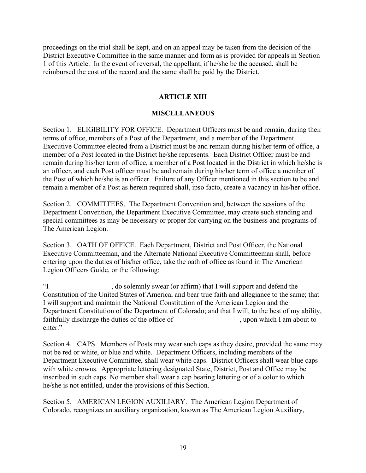proceedings on the trial shall be kept, and on an appeal may be taken from the decision of the District Executive Committee in the same manner and form as is provided for appeals in Section 1 of this Article. In the event of reversal, the appellant, if he/she be the accused, shall be reimbursed the cost of the record and the same shall be paid by the District.

## **ARTICLE XIII**

## **MISCELLANEOUS**

Section 1. ELIGIBILITY FOR OFFICE. Department Officers must be and remain, during their terms of office, members of a Post of the Department, and a member of the Department Executive Committee elected from a District must be and remain during his/her term of office, a member of a Post located in the District he/she represents. Each District Officer must be and remain during his/her term of office, a member of a Post located in the District in which he/she is an officer, and each Post officer must be and remain during his/her term of office a member of the Post of which he/she is an officer. Failure of any Officer mentioned in this section to be and remain a member of a Post as herein required shall, ipso facto, create a vacancy in his/her office.

Section 2. COMMITTEES. The Department Convention and, between the sessions of the Department Convention, the Department Executive Committee, may create such standing and special committees as may be necessary or proper for carrying on the business and programs of The American Legion.

Section 3. OATH OF OFFICE. Each Department, District and Post Officer, the National Executive Committeeman, and the Alternate National Executive Committeeman shall, before entering upon the duties of his/her office, take the oath of office as found in The American Legion Officers Guide, or the following:

"I \_\_\_\_\_\_\_\_\_\_\_\_\_\_\_\_\_, do solemnly swear (or affirm) that I will support and defend the Constitution of the United States of America, and bear true faith and allegiance to the same; that I will support and maintain the National Constitution of the American Legion and the Department Constitution of the Department of Colorado; and that I will, to the best of my ability, faithfully discharge the duties of the office of \_\_\_\_\_\_\_\_\_\_\_\_\_\_\_\_\_\_, upon which I am about to enter."

Section 4. CAPS. Members of Posts may wear such caps as they desire, provided the same may not be red or white, or blue and white. Department Officers, including members of the Department Executive Committee, shall wear white caps. District Officers shall wear blue caps with white crowns. Appropriate lettering designated State, District, Post and Office may be inscribed in such caps. No member shall wear a cap bearing lettering or of a color to which he/she is not entitled, under the provisions of this Section.

Section 5. AMERICAN LEGION AUXILIARY. The American Legion Department of Colorado, recognizes an auxiliary organization, known as The American Legion Auxiliary,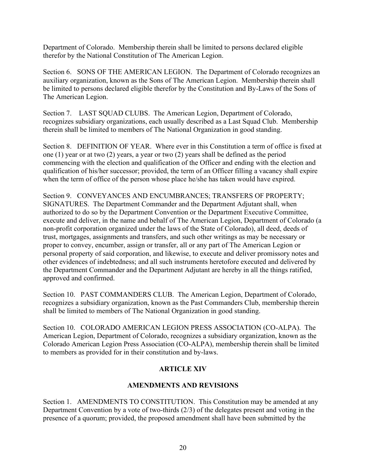Department of Colorado. Membership therein shall be limited to persons declared eligible therefor by the National Constitution of The American Legion.

Section 6. SONS OF THE AMERICAN LEGION. The Department of Colorado recognizes an auxiliary organization, known as the Sons of The American Legion. Membership therein shall be limited to persons declared eligible therefor by the Constitution and By-Laws of the Sons of The American Legion.

Section 7. LAST SQUAD CLUBS. The American Legion, Department of Colorado, recognizes subsidiary organizations, each usually described as a Last Squad Club. Membership therein shall be limited to members of The National Organization in good standing.

Section 8. DEFINITION OF YEAR. Where ever in this Constitution a term of office is fixed at one (1) year or at two (2) years, a year or two (2) years shall be defined as the period commencing with the election and qualification of the Officer and ending with the election and qualification of his/her successor; provided, the term of an Officer filling a vacancy shall expire when the term of office of the person whose place he/she has taken would have expired.

Section 9. CONVEYANCES AND ENCUMBRANCES; TRANSFERS OF PROPERTY; SIGNATURES. The Department Commander and the Department Adjutant shall, when authorized to do so by the Department Convention or the Department Executive Committee, execute and deliver, in the name and behalf of The American Legion, Department of Colorado (a non-profit corporation organized under the laws of the State of Colorado), all deed, deeds of trust, mortgages, assignments and transfers, and such other writings as may be necessary or proper to convey, encumber, assign or transfer, all or any part of The American Legion or personal property of said corporation, and likewise, to execute and deliver promissory notes and other evidences of indebtedness; and all such instruments heretofore executed and delivered by the Department Commander and the Department Adjutant are hereby in all the things ratified, approved and confirmed.

Section 10. PAST COMMANDERS CLUB. The American Legion, Department of Colorado, recognizes a subsidiary organization, known as the Past Commanders Club, membership therein shall be limited to members of The National Organization in good standing.

Section 10. COLORADO AMERICAN LEGION PRESS ASSOCIATION (CO-ALPA). The American Legion, Department of Colorado, recognizes a subsidiary organization, known as the Colorado American Legion Press Association (CO-ALPA), membership therein shall be limited to members as provided for in their constitution and by-laws.

# **ARTICLE XIV**

# **AMENDMENTS AND REVISIONS**

Section 1. AMENDMENTS TO CONSTITUTION. This Constitution may be amended at any Department Convention by a vote of two-thirds (2/3) of the delegates present and voting in the presence of a quorum; provided, the proposed amendment shall have been submitted by the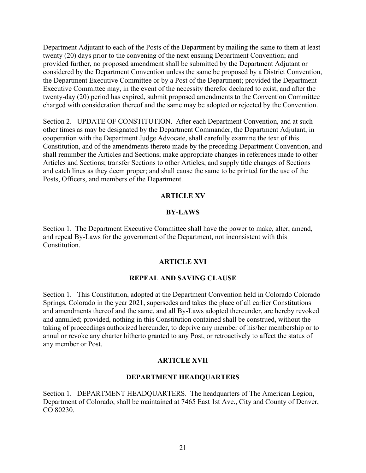Department Adjutant to each of the Posts of the Department by mailing the same to them at least twenty (20) days prior to the convening of the next ensuing Department Convention; and provided further, no proposed amendment shall be submitted by the Department Adjutant or considered by the Department Convention unless the same be proposed by a District Convention, the Department Executive Committee or by a Post of the Department; provided the Department Executive Committee may, in the event of the necessity therefor declared to exist, and after the twenty-day (20) period has expired, submit proposed amendments to the Convention Committee charged with consideration thereof and the same may be adopted or rejected by the Convention.

Section 2. UPDATE OF CONSTITUTION. After each Department Convention, and at such other times as may be designated by the Department Commander, the Department Adjutant, in cooperation with the Department Judge Advocate, shall carefully examine the text of this Constitution, and of the amendments thereto made by the preceding Department Convention, and shall renumber the Articles and Sections; make appropriate changes in references made to other Articles and Sections; transfer Sections to other Articles, and supply title changes of Sections and catch lines as they deem proper; and shall cause the same to be printed for the use of the Posts, Officers, and members of the Department.

# **ARTICLE XV**

## **BY-LAWS**

Section 1. The Department Executive Committee shall have the power to make, alter, amend, and repeal By-Laws for the government of the Department, not inconsistent with this Constitution.

#### **ARTICLE XVI**

#### **REPEAL AND SAVING CLAUSE**

Section 1. This Constitution, adopted at the Department Convention held in Colorado Colorado Springs, Colorado in the year 2021, supersedes and takes the place of all earlier Constitutions and amendments thereof and the same, and all By-Laws adopted thereunder, are hereby revoked and annulled; provided, nothing in this Constitution contained shall be construed, without the taking of proceedings authorized hereunder, to deprive any member of his/her membership or to annul or revoke any charter hitherto granted to any Post, or retroactively to affect the status of any member or Post.

# **ARTICLE XVII**

#### **DEPARTMENT HEADQUARTERS**

Section 1. DEPARTMENT HEADQUARTERS. The headquarters of The American Legion, Department of Colorado, shall be maintained at 7465 East 1st Ave., City and County of Denver, CO 80230.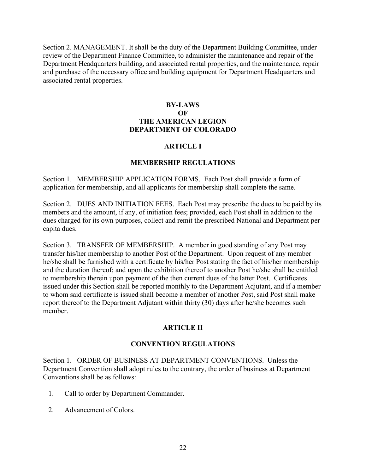Section 2. MANAGEMENT. It shall be the duty of the Department Building Committee, under review of the Department Finance Committee, to administer the maintenance and repair of the Department Headquarters building, and associated rental properties, and the maintenance, repair and purchase of the necessary office and building equipment for Department Headquarters and associated rental properties.

## **BY-LAWS OF THE AMERICAN LEGION DEPARTMENT OF COLORADO**

## **ARTICLE I**

#### **MEMBERSHIP REGULATIONS**

Section 1. MEMBERSHIP APPLICATION FORMS. Each Post shall provide a form of application for membership, and all applicants for membership shall complete the same.

Section 2. DUES AND INITIATION FEES. Each Post may prescribe the dues to be paid by its members and the amount, if any, of initiation fees; provided, each Post shall in addition to the dues charged for its own purposes, collect and remit the prescribed National and Department per capita dues.

Section 3. TRANSFER OF MEMBERSHIP. A member in good standing of any Post may transfer his/her membership to another Post of the Department. Upon request of any member he/she shall be furnished with a certificate by his/her Post stating the fact of his/her membership and the duration thereof; and upon the exhibition thereof to another Post he/she shall be entitled to membership therein upon payment of the then current dues of the latter Post. Certificates issued under this Section shall be reported monthly to the Department Adjutant, and if a member to whom said certificate is issued shall become a member of another Post, said Post shall make report thereof to the Department Adjutant within thirty (30) days after he/she becomes such member.

# **ARTICLE II**

#### **CONVENTION REGULATIONS**

Section 1. ORDER OF BUSINESS AT DEPARTMENT CONVENTIONS. Unless the Department Convention shall adopt rules to the contrary, the order of business at Department Conventions shall be as follows:

- 1. Call to order by Department Commander.
- 2. Advancement of Colors.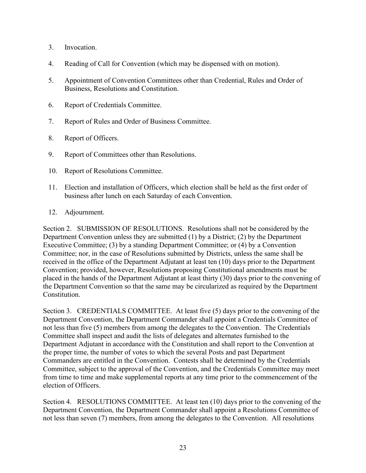- 3. Invocation.
- 4. Reading of Call for Convention (which may be dispensed with on motion).
- 5. Appointment of Convention Committees other than Credential, Rules and Order of Business, Resolutions and Constitution.
- 6. Report of Credentials Committee.
- 7. Report of Rules and Order of Business Committee.
- 8. Report of Officers.
- 9. Report of Committees other than Resolutions.
- 10. Report of Resolutions Committee.
- 11. Election and installation of Officers, which election shall be held as the first order of business after lunch on each Saturday of each Convention.
- 12. Adjournment.

Section 2. SUBMISSION OF RESOLUTIONS. Resolutions shall not be considered by the Department Convention unless they are submitted (1) by a District; (2) by the Department Executive Committee; (3) by a standing Department Committee; or (4) by a Convention Committee; nor, in the case of Resolutions submitted by Districts, unless the same shall be received in the office of the Department Adjutant at least ten (10) days prior to the Department Convention; provided, however, Resolutions proposing Constitutional amendments must be placed in the hands of the Department Adjutant at least thirty (30) days prior to the convening of the Department Convention so that the same may be circularized as required by the Department Constitution.

Section 3. CREDENTIALS COMMITTEE. At least five (5) days prior to the convening of the Department Convention, the Department Commander shall appoint a Credentials Committee of not less than five (5) members from among the delegates to the Convention. The Credentials Committee shall inspect and audit the lists of delegates and alternates furnished to the Department Adjutant in accordance with the Constitution and shall report to the Convention at the proper time, the number of votes to which the several Posts and past Department Commanders are entitled in the Convention. Contests shall be determined by the Credentials Committee, subject to the approval of the Convention, and the Credentials Committee may meet from time to time and make supplemental reports at any time prior to the commencement of the election of Officers.

Section 4. RESOLUTIONS COMMITTEE. At least ten (10) days prior to the convening of the Department Convention, the Department Commander shall appoint a Resolutions Committee of not less than seven (7) members, from among the delegates to the Convention. All resolutions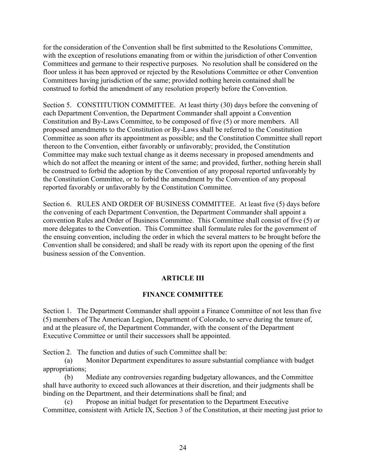for the consideration of the Convention shall be first submitted to the Resolutions Committee, with the exception of resolutions emanating from or within the jurisdiction of other Convention Committees and germane to their respective purposes. No resolution shall be considered on the floor unless it has been approved or rejected by the Resolutions Committee or other Convention Committees having jurisdiction of the same; provided nothing herein contained shall be construed to forbid the amendment of any resolution properly before the Convention.

Section 5. CONSTITUTION COMMITTEE. At least thirty (30) days before the convening of each Department Convention, the Department Commander shall appoint a Convention Constitution and By-Laws Committee, to be composed of five (5) or more members. All proposed amendments to the Constitution or By-Laws shall be referred to the Constitution Committee as soon after its appointment as possible; and the Constitution Committee shall report thereon to the Convention, either favorably or unfavorably; provided, the Constitution Committee may make such textual change as it deems necessary in proposed amendments and which do not affect the meaning or intent of the same; and provided, further, nothing herein shall be construed to forbid the adoption by the Convention of any proposal reported unfavorably by the Constitution Committee, or to forbid the amendment by the Convention of any proposal reported favorably or unfavorably by the Constitution Committee.

Section 6. RULES AND ORDER OF BUSINESS COMMITTEE. At least five (5) days before the convening of each Department Convention, the Department Commander shall appoint a convention Rules and Order of Business Committee. This Committee shall consist of five (5) or more delegates to the Convention. This Committee shall formulate rules for the government of the ensuing convention, including the order in which the several matters to be brought before the Convention shall be considered; and shall be ready with its report upon the opening of the first business session of the Convention.

# **ARTICLE III**

# **FINANCE COMMITTEE**

Section 1. The Department Commander shall appoint a Finance Committee of not less than five (5) members of The American Legion, Department of Colorado, to serve during the tenure of, and at the pleasure of, the Department Commander, with the consent of the Department Executive Committee or until their successors shall be appointed.

Section 2. The function and duties of such Committee shall be:

 (a) Monitor Department expenditures to assure substantial compliance with budget appropriations;

 (b) Mediate any controversies regarding budgetary allowances, and the Committee shall have authority to exceed such allowances at their discretion, and their judgments shall be binding on the Department, and their determinations shall be final; and

 (c) Propose an initial budget for presentation to the Department Executive Committee, consistent with Article IX, Section 3 of the Constitution, at their meeting just prior to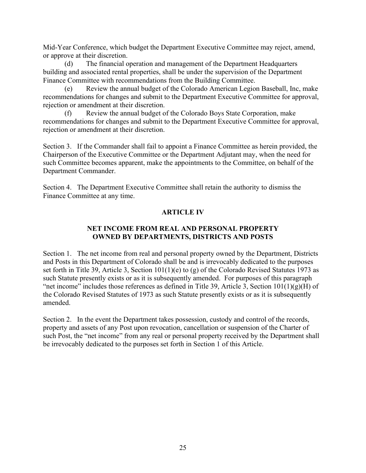Mid-Year Conference, which budget the Department Executive Committee may reject, amend, or approve at their discretion.

 (d) The financial operation and management of the Department Headquarters building and associated rental properties, shall be under the supervision of the Department Finance Committee with recommendations from the Building Committee.

 (e) Review the annual budget of the Colorado American Legion Baseball, Inc, make recommendations for changes and submit to the Department Executive Committee for approval, rejection or amendment at their discretion.

 (f) Review the annual budget of the Colorado Boys State Corporation, make recommendations for changes and submit to the Department Executive Committee for approval, rejection or amendment at their discretion.

Section 3. If the Commander shall fail to appoint a Finance Committee as herein provided, the Chairperson of the Executive Committee or the Department Adjutant may, when the need for such Committee becomes apparent, make the appointments to the Committee, on behalf of the Department Commander.

Section 4. The Department Executive Committee shall retain the authority to dismiss the Finance Committee at any time.

# **ARTICLE IV**

# **NET INCOME FROM REAL AND PERSONAL PROPERTY OWNED BY DEPARTMENTS, DISTRICTS AND POSTS**

Section 1. The net income from real and personal property owned by the Department, Districts and Posts in this Department of Colorado shall be and is irrevocably dedicated to the purposes set forth in Title 39, Article 3, Section 101(1)(e) to (g) of the Colorado Revised Statutes 1973 as such Statute presently exists or as it is subsequently amended. For purposes of this paragraph "net income" includes those references as defined in Title 39, Article 3, Section  $101(1)(g)(H)$  of the Colorado Revised Statutes of 1973 as such Statute presently exists or as it is subsequently amended.

Section 2. In the event the Department takes possession, custody and control of the records, property and assets of any Post upon revocation, cancellation or suspension of the Charter of such Post, the "net income" from any real or personal property received by the Department shall be irrevocably dedicated to the purposes set forth in Section 1 of this Article.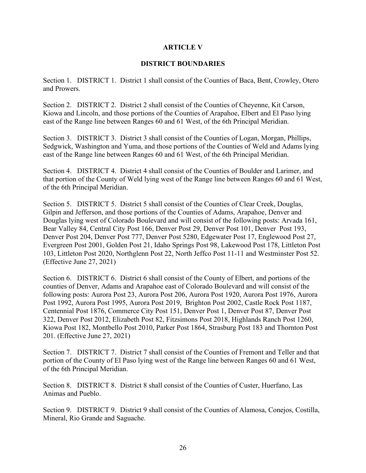## **ARTICLE V**

## **DISTRICT BOUNDARIES**

Section 1. DISTRICT 1. District 1 shall consist of the Counties of Baca, Bent, Crowley, Otero and Prowers.

Section 2. DISTRICT 2. District 2 shall consist of the Counties of Cheyenne, Kit Carson, Kiowa and Lincoln, and those portions of the Counties of Arapahoe, Elbert and El Paso lying east of the Range line between Ranges 60 and 61 West, of the 6th Principal Meridian.

Section 3. DISTRICT 3. District 3 shall consist of the Counties of Logan, Morgan, Phillips, Sedgwick, Washington and Yuma, and those portions of the Counties of Weld and Adams lying east of the Range line between Ranges 60 and 61 West, of the 6th Principal Meridian.

Section 4. DISTRICT 4. District 4 shall consist of the Counties of Boulder and Larimer, and that portion of the County of Weld lying west of the Range line between Ranges 60 and 61 West, of the 6th Principal Meridian.

Section 5. DISTRICT 5. District 5 shall consist of the Counties of Clear Creek, Douglas, Gilpin and Jefferson, and those portions of the Counties of Adams, Arapahoe, Denver and Douglas lying west of Colorado Boulevard and will consist of the following posts: Arvada 161, Bear Valley 84, Central City Post 166, Denver Post 29, Denver Post 101, Denver Post 193, Denver Post 204, Denver Post 777, Denver Post 5280, Edgewater Post 17, Englewood Post 27, Evergreen Post 2001, Golden Post 21, Idaho Springs Post 98, Lakewood Post 178, Littleton Post 103, Littleton Post 2020, Northglenn Post 22, North Jeffco Post 11-11 and Westminster Post 52. (Effective June 27, 2021)

Section 6. DISTRICT 6. District 6 shall consist of the County of Elbert, and portions of the counties of Denver, Adams and Arapahoe east of Colorado Boulevard and will consist of the following posts: Aurora Post 23, Aurora Post 206, Aurora Post 1920, Aurora Post 1976, Aurora Post 1992, Aurora Post 1995, Aurora Post 2019, Brighton Post 2002, Castle Rock Post 1187, Centennial Post 1876, Commerce City Post 151, Denver Post 1, Denver Post 87, Denver Post 322, Denver Post 2012, Elizabeth Post 82, Fitzsimons Post 2018, Highlands Ranch Post 1260, Kiowa Post 182, Montbello Post 2010, Parker Post 1864, Strasburg Post 183 and Thornton Post 201. (Effective June 27, 2021)

Section 7. DISTRICT 7. District 7 shall consist of the Counties of Fremont and Teller and that portion of the County of El Paso lying west of the Range line between Ranges 60 and 61 West, of the 6th Principal Meridian.

Section 8. DISTRICT 8. District 8 shall consist of the Counties of Custer, Huerfano, Las Animas and Pueblo.

Section 9. DISTRICT 9. District 9 shall consist of the Counties of Alamosa, Conejos, Costilla, Mineral, Rio Grande and Saguache.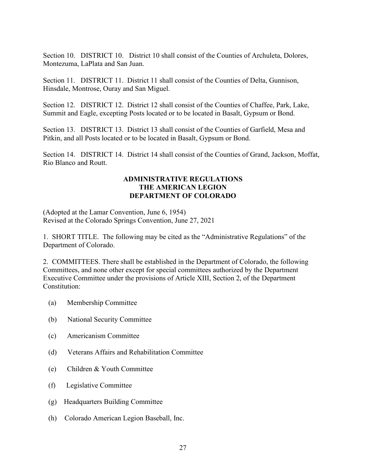Section 10. DISTRICT 10. District 10 shall consist of the Counties of Archuleta, Dolores, Montezuma, LaPlata and San Juan.

Section 11. DISTRICT 11. District 11 shall consist of the Counties of Delta, Gunnison, Hinsdale, Montrose, Ouray and San Miguel.

Section 12. DISTRICT 12. District 12 shall consist of the Counties of Chaffee, Park, Lake, Summit and Eagle, excepting Posts located or to be located in Basalt, Gypsum or Bond.

Section 13. DISTRICT 13. District 13 shall consist of the Counties of Garfield, Mesa and Pitkin, and all Posts located or to be located in Basalt, Gypsum or Bond.

Section 14. DISTRICT 14. District 14 shall consist of the Counties of Grand, Jackson, Moffat, Rio Blanco and Routt.

## **ADMINISTRATIVE REGULATIONS THE AMERICAN LEGION DEPARTMENT OF COLORADO**

(Adopted at the Lamar Convention, June 6, 1954) Revised at the Colorado Springs Convention, June 27, 2021

1. SHORT TITLE. The following may be cited as the "Administrative Regulations" of the Department of Colorado.

2. COMMITTEES. There shall be established in the Department of Colorado, the following Committees, and none other except for special committees authorized by the Department Executive Committee under the provisions of Article XIII, Section 2, of the Department Constitution:

- (a) Membership Committee
- (b) National Security Committee
- (c) Americanism Committee
- (d) Veterans Affairs and Rehabilitation Committee
- (e) Children & Youth Committee
- (f) Legislative Committee
- (g) Headquarters Building Committee
- (h) Colorado American Legion Baseball, Inc.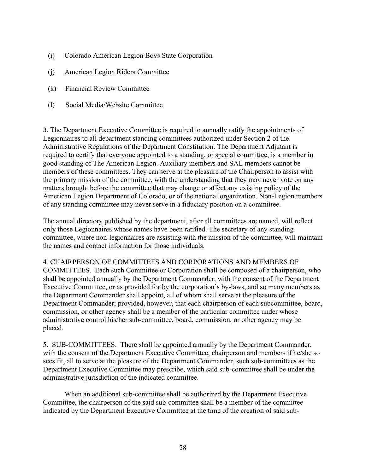- (i) Colorado American Legion Boys State Corporation
- (j) American Legion Riders Committee
- (k) Financial Review Committee
- (l) Social Media/Website Committee

3. The Department Executive Committee is required to annually ratify the appointments of Legionnaires to all department standing committees authorized under Section 2 of the Administrative Regulations of the Department Constitution. The Department Adjutant is required to certify that everyone appointed to a standing, or special committee, is a member in good standing of The American Legion. Auxiliary members and SAL members cannot be members of these committees. They can serve at the pleasure of the Chairperson to assist with the primary mission of the committee, with the understanding that they may never vote on any matters brought before the committee that may change or affect any existing policy of the American Legion Department of Colorado, or of the national organization. Non-Legion members of any standing committee may never serve in a fiduciary position on a committee.

The annual directory published by the department, after all committees are named, will reflect only those Legionnaires whose names have been ratified. The secretary of any standing committee, where non-legionnaires are assisting with the mission of the committee, will maintain the names and contact information for those individuals.

4. CHAIRPERSON OF COMMITTEES AND CORPORATIONS AND MEMBERS OF COMMITTEES. Each such Committee or Corporation shall be composed of a chairperson, who shall be appointed annually by the Department Commander, with the consent of the Department Executive Committee, or as provided for by the corporation's by-laws, and so many members as the Department Commander shall appoint, all of whom shall serve at the pleasure of the Department Commander; provided, however, that each chairperson of each subcommittee, board, commission, or other agency shall be a member of the particular committee under whose administrative control his/her sub-committee, board, commission, or other agency may be placed.

5. SUB-COMMITTEES. There shall be appointed annually by the Department Commander, with the consent of the Department Executive Committee, chairperson and members if he/she so sees fit, all to serve at the pleasure of the Department Commander, such sub-committees as the Department Executive Committee may prescribe, which said sub-committee shall be under the administrative jurisdiction of the indicated committee.

When an additional sub-committee shall be authorized by the Department Executive Committee, the chairperson of the said sub-committee shall be a member of the committee indicated by the Department Executive Committee at the time of the creation of said sub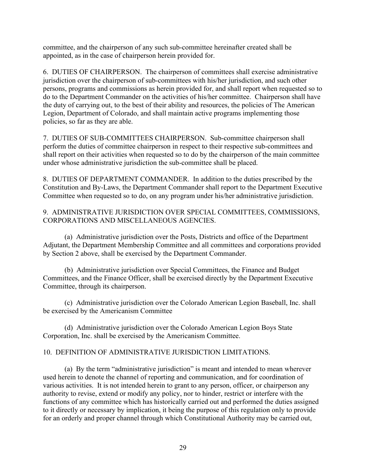committee, and the chairperson of any such sub-committee hereinafter created shall be appointed, as in the case of chairperson herein provided for.

6. DUTIES OF CHAIRPERSON. The chairperson of committees shall exercise administrative jurisdiction over the chairperson of sub-committees with his/her jurisdiction, and such other persons, programs and commissions as herein provided for, and shall report when requested so to do to the Department Commander on the activities of his/her committee. Chairperson shall have the duty of carrying out, to the best of their ability and resources, the policies of The American Legion, Department of Colorado, and shall maintain active programs implementing those policies, so far as they are able.

7. DUTIES OF SUB-COMMITTEES CHAIRPERSON. Sub-committee chairperson shall perform the duties of committee chairperson in respect to their respective sub-committees and shall report on their activities when requested so to do by the chairperson of the main committee under whose administrative jurisdiction the sub-committee shall be placed.

8. DUTIES OF DEPARTMENT COMMANDER. In addition to the duties prescribed by the Constitution and By-Laws, the Department Commander shall report to the Department Executive Committee when requested so to do, on any program under his/her administrative jurisdiction.

# 9. ADMINISTRATIVE JURISDICTION OVER SPECIAL COMMITTEES, COMMISSIONS, CORPORATIONS AND MISCELLANEOUS AGENCIES.

 (a) Administrative jurisdiction over the Posts, Districts and office of the Department Adjutant, the Department Membership Committee and all committees and corporations provided by Section 2 above, shall be exercised by the Department Commander.

 (b) Administrative jurisdiction over Special Committees, the Finance and Budget Committees, and the Finance Officer, shall be exercised directly by the Department Executive Committee, through its chairperson.

 (c) Administrative jurisdiction over the Colorado American Legion Baseball, Inc. shall be exercised by the Americanism Committee

 (d) Administrative jurisdiction over the Colorado American Legion Boys State Corporation, Inc. shall be exercised by the Americanism Committee.

# 10. DEFINITION OF ADMINISTRATIVE JURISDICTION LIMITATIONS.

 (a) By the term "administrative jurisdiction" is meant and intended to mean wherever used herein to denote the channel of reporting and communication, and for coordination of various activities. It is not intended herein to grant to any person, officer, or chairperson any authority to revise, extend or modify any policy, nor to hinder, restrict or interfere with the functions of any committee which has historically carried out and performed the duties assigned to it directly or necessary by implication, it being the purpose of this regulation only to provide for an orderly and proper channel through which Constitutional Authority may be carried out,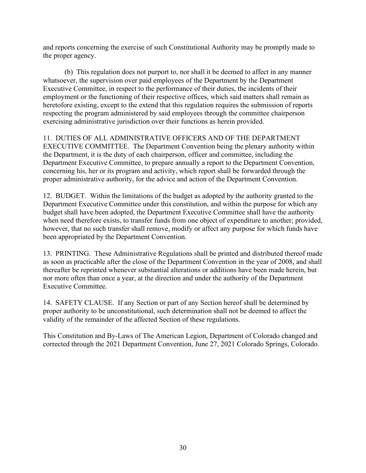and reports concerning the exercise of such Constitutional Authority may be promptly made to the proper agency.

 (b) This regulation does not purport to, nor shall it be deemed to affect in any manner whatsoever, the supervision over paid employees of the Department by the Department Executive Committee, in respect to the performance of their duties, the incidents of their employment or the functioning of their respective offices, which said matters shall remain as heretofore existing, except to the extend that this regulation requires the submission of reports respecting the program administered by said employees through the committee chairperson exercising administrative jurisdiction over their functions as herein provided.

11. DUTIES OF ALL ADMINISTRATIVE OFFICERS AND OF THE DEPARTMENT EXECUTIVE COMMITTEE. The Department Convention being the plenary authority within the Department, it is the duty of each chairperson, officer and committee, including the Department Executive Committee, to prepare annually a report to the Department Convention, concerning his, her or its program and activity, which report shall be forwarded through the proper administrative authority, for the advice and action of the Department Convention.

12. BUDGET. Within the limitations of the budget as adopted by the authority granted to the Department Executive Committee under this constitution, and within the purpose for which any budget shall have been adopted, the Department Executive Committee shall have the authority when need therefore exists, to transfer funds from one object of expenditure to another; provided, however, that no such transfer shall remove, modify or affect any purpose for which funds have been appropriated by the Department Convention.

13. PRINTING. These Administrative Regulations shall be printed and distributed thereof made as soon as practicable after the close of the Department Convention in the year of 2008, and shall thereafter be reprinted whenever substantial alterations or additions have been made herein, but nor more often than once a year, at the direction and under the authority of the Department Executive Committee.

14. SAFETY CLAUSE. If any Section or part of any Section hereof shall be determined by proper authority to be unconstitutional, such determination shall not be deemed to affect the validity of the remainder of the affected Section of these regulations.

This Constitution and By-Laws of The American Legion, Department of Colorado changed and corrected through the 2021 Department Convention, June 27, 2021 Colorado Springs, Colorado.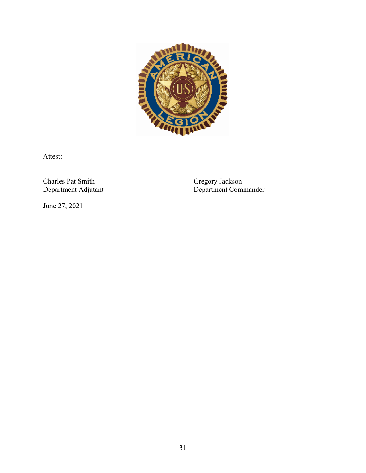

Attest:

Charles Pat Smith<br>Department Adjutant

Gregory Jackson<br>Department Commander

June 27, 2021